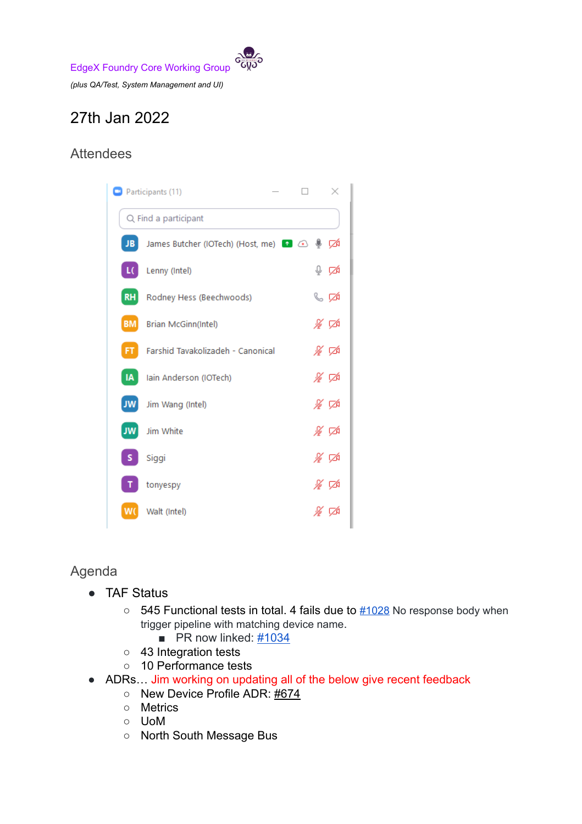EdgeX Foundry Core Working Group *(plus QA/Test, System Management and UI)*

# 27th Jan 2022

## Attendees



### Agenda

- TAF Status
	- $\circ$  545 Functional tests in total. 4 fails due to  $\frac{\#1028}{\#1028}$  $\frac{\#1028}{\#1028}$  $\frac{\#1028}{\#1028}$  No response body when trigger pipeline with matching device name.
		- $\blacksquare$  PR now linked:  $\frac{\#1034}{4}$  $\frac{\#1034}{4}$  $\frac{\#1034}{4}$
	- 43 Integration tests
	- 10 Performance tests
- ADRs... Jim working on updating all of the below give recent feedback
	- New Device Profile ADR: [#674](https://github.com/edgexfoundry/edgex-docs/pull/674)
	- Metrics
	- UoM
	- North South Message Bus